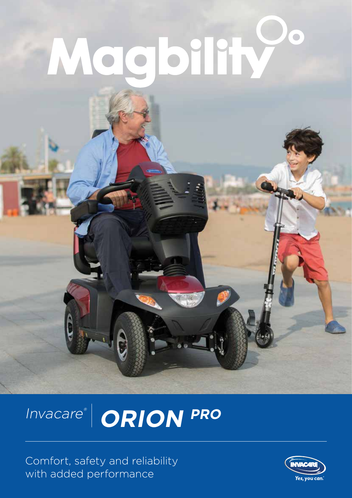# Magbility

# Invacare®  **ORION PRO**

Comfort, safety and reliability with added performance

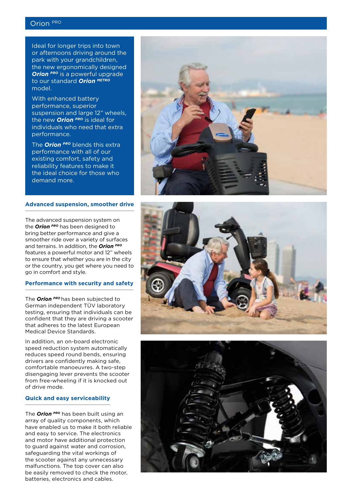# Orion PRO

Ideal for longer trips into town or afternoons driving around the park with your grandchildren, the new ergonomically designed **Orion** PRO is a powerful upgrade to our standard *Orion METRO* model.

With enhanced battery performance, superior suspension and large 12" wheels, the new *Orion PRO* is ideal for individuals who need that extra performance.

The *Orion PRO* blends this extra performance with all of our existing comfort, safety and reliability features to make it the ideal choice for those who demand more.

#### **Advanced suspension, smoother drive**

The advanced suspension system on the *Orion PRO* has been designed to bring better performance and give a smoother ride over a variety of surfaces and terrains. In addition, the *Orion PRO* features a powerful motor and 12" wheels to ensure that whether you are in the city or the country, you get where you need to go in comfort and style.

#### **Performance with security and safety**

The *Orion PRO* has been subjected to German independent TÜV laboratory testing, ensuring that individuals can be confident that they are driving a scooter that adheres to the latest European Medical Device Standards.

In addition, an on-board electronic speed reduction system automatically reduces speed round bends, ensuring drivers are confidently making safe, comfortable manoeuvres. A two-step disengaging lever prevents the scooter from free-wheeling if it is knocked out of drive mode.

#### **Quick and easy serviceability**

The *Orion PRO* has been built using an array of quality components, which have enabled us to make it both reliable and easy to service. The electronics and motor have additional protection to guard against water and corrosion, safeguarding the vital workings of the scooter against any unnecessary malfunctions. The top cover can also be easily removed to check the motor, batteries, electronics and cables.





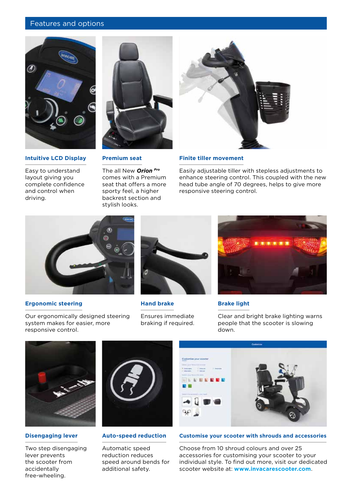### Features and options



#### **Intuitive LCD Display**

Easy to understand layout giving you complete confidence and control when driving.



#### **Premium seat**

The all New *Orion Pro* comes with a Premium seat that offers a more sporty feel, a higher backrest section and stylish looks.



#### **Finite tiller movement**

Easily adjustable tiller with stepless adjustments to enhance steering control. This coupled with the new head tube angle of 70 degrees, helps to give more responsive steering control.



#### **Ergonomic steering**



**Hand brake**

Ensures immediate braking if required.



#### **Brake light**

Clear and bright brake lighting warns people that the scooter is slowing down.



## **Disengaging lever**

Two step disengaging lever prevents the scooter from accidentally free-wheeling.



#### **Auto-speed reduction**

Automatic speed reduction reduces speed around bends for additional safety.



#### **Customise your scooter with shrouds and accessories**

Choose from 10 shroud colours and over 25 accessories for customising your scooter to your individual style. To find out more, visit our dedicated scooter website at: **www.invacarescooter.com**.

Our ergonomically designed steering system makes for easier, more responsive control.